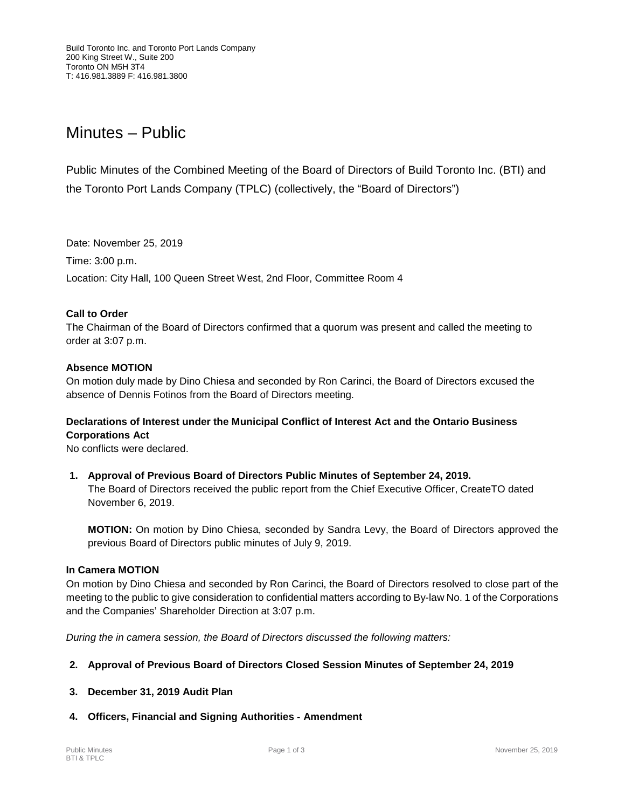# Minutes – Public

Public Minutes of the Combined Meeting of the Board of Directors of Build Toronto Inc. (BTI) and the Toronto Port Lands Company (TPLC) (collectively, the "Board of Directors")

Date: November 25, 2019 Time: 3:00 p.m. Location: City Hall, 100 Queen Street West, 2nd Floor, Committee Room 4

## **Call to Order**

The Chairman of the Board of Directors confirmed that a quorum was present and called the meeting to order at 3:07 p.m.

## **Absence MOTION**

On motion duly made by Dino Chiesa and seconded by Ron Carinci, the Board of Directors excused the absence of Dennis Fotinos from the Board of Directors meeting.

# **Declarations of Interest under the Municipal Conflict of Interest Act and the Ontario Business Corporations Act**

No conflicts were declared.

**1. Approval of Previous Board of Directors Public Minutes of September 24, 2019.** The Board of Directors received the public report from the Chief Executive Officer, CreateTO dated November 6, 2019.

**MOTION:** On motion by Dino Chiesa, seconded by Sandra Levy, the Board of Directors approved the previous Board of Directors public minutes of July 9, 2019.

#### **In Camera MOTION**

On motion by Dino Chiesa and seconded by Ron Carinci, the Board of Directors resolved to close part of the meeting to the public to give consideration to confidential matters according to By-law No. 1 of the Corporations and the Companies' Shareholder Direction at 3:07 p.m.

*During the in camera session, the Board of Directors discussed the following matters:*

## **2. Approval of Previous Board of Directors Closed Session Minutes of September 24, 2019**

- **3. December 31, 2019 Audit Plan**
- **4. Officers, Financial and Signing Authorities - Amendment**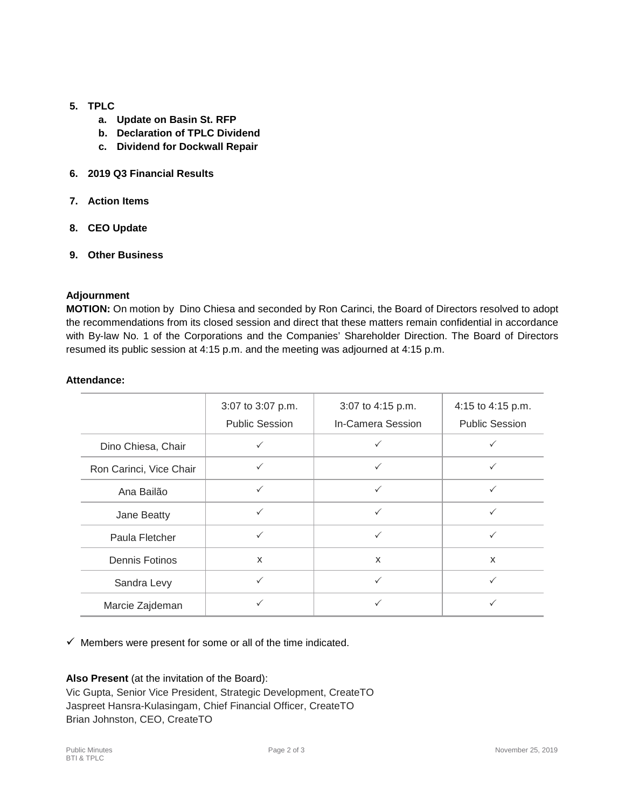# **5. TPLC**

- **a. Update on Basin St. RFP**
- **b. Declaration of TPLC Dividend**
- **c. Dividend for Dockwall Repair**
- **6. 2019 Q3 Financial Results**
- **7. Action Items**
- **8. CEO Update**
- **9. Other Business**

#### **Adjournment**

**MOTION:** On motion by Dino Chiesa and seconded by Ron Carinci, the Board of Directors resolved to adopt the recommendations from its closed session and direct that these matters remain confidential in accordance with By-law No. 1 of the Corporations and the Companies' Shareholder Direction. The Board of Directors resumed its public session at 4:15 p.m. and the meeting was adjourned at 4:15 p.m.

#### **Attendance:**

|                         | 3:07 to 3:07 p.m.<br><b>Public Session</b> | 3:07 to 4:15 p.m.<br>In-Camera Session | 4:15 to 4:15 p.m.<br><b>Public Session</b> |
|-------------------------|--------------------------------------------|----------------------------------------|--------------------------------------------|
| Dino Chiesa, Chair      |                                            |                                        |                                            |
| Ron Carinci, Vice Chair | $\checkmark$                               | $\checkmark$                           | ✓                                          |
| Ana Bailão              | ✓                                          | $\checkmark$                           |                                            |
| Jane Beatty             | $\checkmark$                               | ✓                                      |                                            |
| Paula Fletcher          | $\checkmark$                               | $\checkmark$                           | ✓                                          |
| <b>Dennis Fotinos</b>   | X                                          | X                                      | X                                          |
| Sandra Levy             | ✓                                          | ✓                                      | ✓                                          |
| Marcie Zajdeman         |                                            |                                        |                                            |

 $\checkmark$  Members were present for some or all of the time indicated.

#### **Also Present** (at the invitation of the Board):

Vic Gupta, Senior Vice President, Strategic Development, CreateTO Jaspreet Hansra-Kulasingam, Chief Financial Officer, CreateTO Brian Johnston, CEO, CreateTO